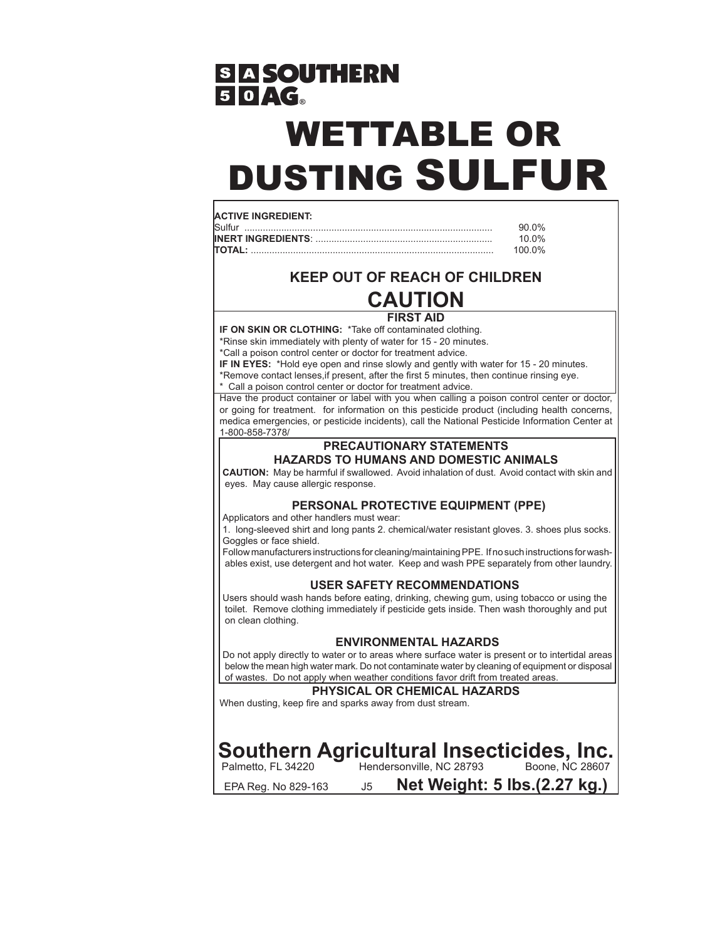## **SASOUTHERN**  $50AG$

# WETTABLE OR DUSTING SULFUR

#### **ACTIVE INGREDIENT:**

| Sulfur        |        |
|---------------|--------|
|               | 1በ በ%  |
| <b>TOTAL:</b> | 100 0% |

### **KEEP OUT OF REACH OF CHILDREN CAUTION**

#### **FIRST AID**

**IF ON SKIN OR CLOTHING:** \*Take off contaminated clothing.

\*Rinse skin immediately with plenty of water for 15 - 20 minutes.

\*Call a poison control center or doctor for treatment advice.

**IF IN EYES:** \*Hold eye open and rinse slowly and gently with water for 15 - 20 minutes.

\*Remove contact lenses,if present, after the first 5 minutes, then continue rinsing eye. \* Call a poison control center or doctor for treatment advice.

Have the product container or label with you when calling a poison control center or doctor, or going for treatment. for information on this pesticide product (including health concerns, medica emergencies, or pesticide incidents), call the National Pesticide Information Center at 1-800-858-7378/

#### **PRECAUTIONARY STATEMENTS HAZARDS TO HUMANS AND DOMESTIC ANIMALS**

**CAUTION:** May be harmful if swallowed. Avoid inhalation of dust. Avoid contact with skin and eyes. May cause allergic response.

#### **PERSONAL PROTECTIVE EQUIPMENT (PPE)**

Applicators and other handlers must wear:

1. long-sleeved shirt and long pants 2. chemical/water resistant gloves. 3. shoes plus socks. Goggles or face shield.

Follow manufacturers instructions for cleaning/maintaining PPE. If no such instructions for washables exist, use detergent and hot water. Keep and wash PPE separately from other laundry.

#### **USER SAFETY RECOMMENDATIONS**

Users should wash hands before eating, drinking, chewing gum, using tobacco or using the toilet. Remove clothing immediately if pesticide gets inside. Then wash thoroughly and put on clean clothing.

#### **ENVIRONMENTAL HAZARDS**

Do not apply directly to water or to areas where surface water is present or to intertidal areas below the mean high water mark. Do not contaminate water by cleaning of equipment or disposal of wastes. Do not apply when weather conditions favor drift from treated areas.

#### **PHYSICAL OR CHEMICAL HAZARDS**

When dusting, keep fire and sparks away from dust stream.

# **Southern Agricultural Insecticides, Inc.**<br>Palmetto, FL 34220 Hendersonville, NC 28793 Boone, NC 28607

Hendersonville, NC 28793

EPA Reg. No 829-163 J5 **Net Weight: 5 lbs.(2.27 kg.)**